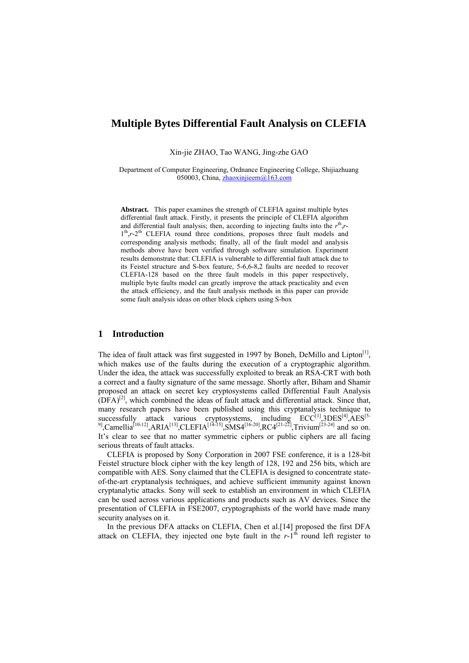# **Multiple Bytes Differential Fault Analysis on CLEFIA**

Xin-jie ZHAO, Tao WANG, Jing-zhe GAO

Department of Computer Engineering, Ordnance Engineering College, Shijiazhuang 050003, China,  $\frac{\text{zhaoxinjieem}(a)163.\text{com}}{2}$ 

**Abstract.** This paper examines the strength of CLEFIA against multiple bytes differential fault attack. Firstly, it presents the principle of CLEFIA algorithm and differential fault analysis; then, according to injecting faults into the  $r<sup>th</sup>$ , $r<sup>-</sup>$ </sup> 1<sup>th</sup>,*r*-2<sup>th</sup> CLEFIA round three conditions, proposes three fault models and corresponding analysis methods; finally, all of the fault model and analysis methods above have been verified through software simulation. Experiment results demonstrate that: CLEFIA is vulnerable to differential fault attack due to its Feistel structure and S-box feature, 5-6,6-8,2 faults are needed to recover CLEFIA-128 based on the three fault models in this paper respectively, multiple byte faults model can greatly improve the attack practicality and even the attack efficiency, and the fault analysis methods in this paper can provide some fault analysis ideas on other block ciphers using S-box

## **1 Introduction**

The idea of fault attack was first suggested in 1997 by Boneh, DeMillo and Lipton $\mathbb{I}^1$ , which makes use of the faults during the execution of a cryptographic algorithm. Under the idea, the attack was successfully exploited to break an RSA-CRT with both a correct and a faulty signature of the same message. Shortly after, Biham and Shamir proposed an attack on secret key cryptosystems called Differential Fault Analysis  $(DFA)^{[2]}$ , which combined the ideas of fault attack and differential attack. Since that, many research papers have been published using this cryptanalysis technique to successfully attack various cryptosystems, including  $\text{ECC}^{[1]}$  $\text{ECC}^{[1]}$  $\text{ECC}^{[1]}$ ,  $\text{3DES}^{[4]}$ ,  $\text{AES}^{[5-]}$ <br>
[[13] Cancellia<sup>[10-12]</sup> A BLA<sup>[13]</sup> CLEELA<sup>[14-15]</sup> SMS*A*[16-20] BCA[21-22] Trivium<sup>[23-24]</sup> and so an 5  $^{9}$  $^{9}$  $^{9}$ ,Camellia<sup>[10-12]</sup>,ARIA<sup>[13]</sup>,CLEFIA<sup>[14-15]</sup>,SMS4<sup>[16-20]</sup>,RC4<sup>[21-22]</sup>,Trivium<sup>[23-24]</sup> and so on. It's clear to see that no matter symmetric ciphers or public ciphers are all facing serious threats of fault attacks.

CLEFIA is proposed by Sony Corporation in 2007 FSE conference, it is a 128-bit Feistel structure block cipher with the key length of 128, 192 and 256 bits, which are compatible with AES. Sony claimed that the CLEFIA is designed to concentrate stateof-the-art cryptanalysis techniques, and achieve sufficient immunity against known cryptanalytic attacks. Sony will seek to establish an environment in which CLEFIA can be used across various applications and products such as AV devices. Since the presentation of CLEFIA in FSE2007, cryptographists of the world have made many security analyses on it.

In the previous DFA attacks on CLEFIA, Chen et al.[[14\]](#page-14-4) proposed the first DFA attack on CLEFIA, they injected one byte fault in the  $r-1<sup>th</sup>$  round left register to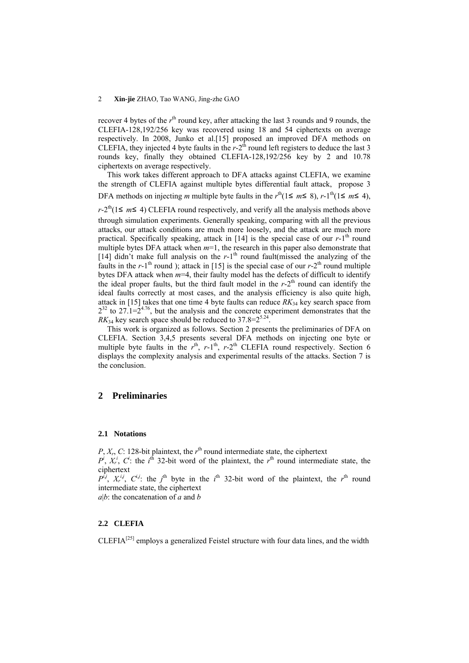recover 4 bytes of the  $r<sup>th</sup>$  round key, after attacking the last 3 rounds and 9 rounds, the CLEFIA-128,192/256 key was recovered using 18 and 54 ciphertexts on average respectively. In 2008, Junko et al.[\[15](#page-14-5)] proposed an improved DFA methods on CLEFIA, they injected 4 byte faults in the  $r-2$ <sup>th</sup> round left registers to deduce the last 3 rounds key, finally they obtained CLEFIA-128,192/256 key by 2 and 10.78 ciphertexts on average respectively.

This work takes different approach to DFA attacks against CLEFIA, we examine the strength of CLEFIA against multiple bytes differential fault attack, propose 3 DFA methods on injecting *m* multiple byte faults in the  $r^{\text{th}}(1 \le m \le 8)$ ,  $r \text{-} 1^{\text{th}}(1 \le m \le 4)$ ,

 $r-2<sup>th</sup>(1 \le m \le 4)$  CLEFIA round respectively, and verify all the analysis methods above through simulation experiments. Generally speaking, comparing with all the previous attacks, our attack conditions are much more loosely, and the attack are much more practical. Specifically speaking, attack in  $[14]$  $[14]$  is the special case of our  $r$ -1<sup>th</sup> round multiple bytes DFA attack when  $m=1$ , the research in this paper also demonstrate that [\[14](#page-14-4)] didn't make full analysis on the  $r-1<sup>th</sup>$  round fault(missed the analyzing of the faults in the  $r$ -1<sup>th</sup> round ); attack in [[15\]](#page-14-5) is the special case of our  $r$ -2<sup>th</sup> round multiple bytes DFA attack when  $m=4$ , their faulty model has the defects of difficult to identify the ideal proper faults, but the third fault model in the  $r-2<sup>th</sup>$  round can identify the ideal faults correctly at most cases, and the analysis efficiency is also quite high, attack in [\[15](#page-14-5)] takes that one time 4 byte faults can reduce  $RK_{34}$  key search space from  $2^{32}$  to  $27.1 = 2^{4.76}$ , but the analysis and the concrete experiment demonstrates that the  $RK_{34}$  key search space should be reduced to 37.8= $2^{5.24}$ 

This work is organized as follows. Section 2 presents the preliminaries of DFA on CLEFIA. Section 3,4,5 presents several DFA methods on injecting one byte or multiple byte faults in the  $r<sup>th</sup>$ ,  $r-1<sup>th</sup>$ ,  $r-2<sup>th</sup>$  CLEFIA round respectively. Section 6 displays the complexity analysis and experimental results of the attacks. Section 7 is the conclusion.

## **2 Preliminaries**

#### **2.1 Notations**

 $P, X_r, C$ : 128-bit plaintext, the  $r<sup>th</sup>$  round intermediate state, the ciphertext  $P^i$ ,  $X^i$ ,  $C^i$ : the *i*<sup>th</sup> 32-bit word of the plaintext, the *r*<sup>th</sup> round intermediate state, the ciphertext

 $P^{i,j}$ ,  $X_r^{i,j}$ ,  $C^{i,j}$ : the *j*<sup>th</sup> byte in the *i*<sup>th</sup> 32-bit word of the plaintext, the *r*<sup>th</sup> round intermediate state, the ciphertext

*a*|*b*: the concatenation of *a* and *b*

## **2.2 CLEFIA**

 $CLEFA<sup>[25]</sup>$  employs a generalized Feistel structure with four data lines, and the width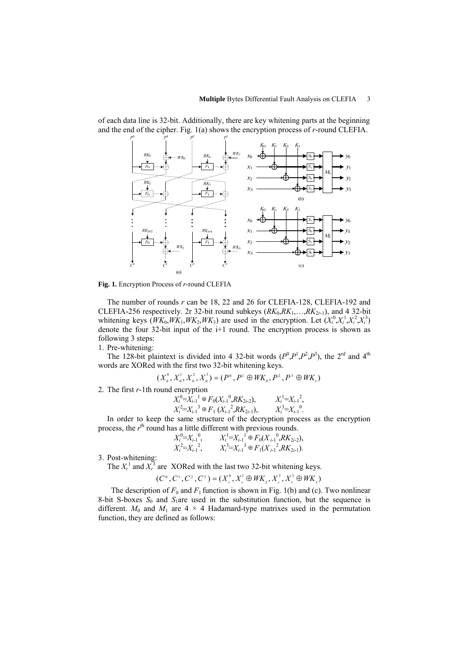

of each data line is 32-bit. Additionally, there are key whitening parts at the beginning and the end of the cipher. Fig. 1(a) shows the encryption process of *r*-round CLEFIA.

**Fig. 1.** Encryption Process of *r*-round CLEFIA

The number of rounds *r* can be 18, 22 and 26 for CLEFIA-128, CLEFIA-192 and CLEFIA-256 respectively. 2r 32-bit round subkeys  $(RK_0, RK_1, \ldots, RK_{2r-1})$ , and 4 32-bit whitening keys  $(WK_0, WK_1, WK_2, WK_3)$  are used in the encryption. Let  $(X_i^0, X_i^1, X_i^2, X_i^3)$ denote the four 32-bit input of the i+1 round. The encryption process is shown as following 3 steps:

1. Pre-whitening:

The 128-bit plaintext is divided into 4 32-bit words  $(P^0, P^1, P^2, P^3)$ , the 2<sup>rd</sup> and 4<sup>th</sup> words are XORed with the first two 32-bit whitening keys.

$$
(X_0^0, X_0^1, X_0^2, X_0^3) = (P^0, P^1 \oplus W K_0, P^2, P^3 \oplus W K_1)
$$

2. The first *r*-1th round encryption

$$
X_i^0 = X_{i-1}^1 \oplus F_0(X_{i-1}^0, R K_{2i-2}), \qquad X_i^1 = X_{i-1}^2, X_i^2 = X_{i-1}^3 \oplus F_1(X_{i-1}^2, R K_{2i-1}), \qquad X_i^3 = X_{i-1}^0.
$$

In order to keep the same structure of the decryption process as the encryption process, the r<sup>th</sup> round has a little different with previous rounds.

$$
X_i^0 = X_{i-1}^0, \qquad X_i^1 = X_{i-1}^1 \oplus F_0(X_{i-1}^0, R K_{2i-2}),
$$
  

$$
X_i^2 = X_{i-1}^2, \qquad X_i^3 = X_{i-1}^3 \oplus F_1(X_{i-1}^2, R K_{2i-1}).
$$

3. Post-whitening:

The  $X_r^1$  and  $X_r^3$  are XORed with the last two 32-bit whitening keys.

$$
(C^{\circ}, C^{\circ}, C^{\circ}, C^{\circ}) = (X^{\circ}_{r}, X^{\circ}_{r} \oplus WK_{2}, X^{\circ}_{r}, X^{\circ}_{r} \oplus WK_{3})
$$

The description of  $F_0$  and  $F_1$  function is shown in Fig. 1(b) and (c). Two nonlinear 8-bit S-boxes  $S_0$  and  $S_1$ are used in the substitution function, but the sequence is different.  $M_0$  and  $M_1$  are  $4 \times 4$  Hadamard-type matrixes used in the permutation function, they are defined as follows: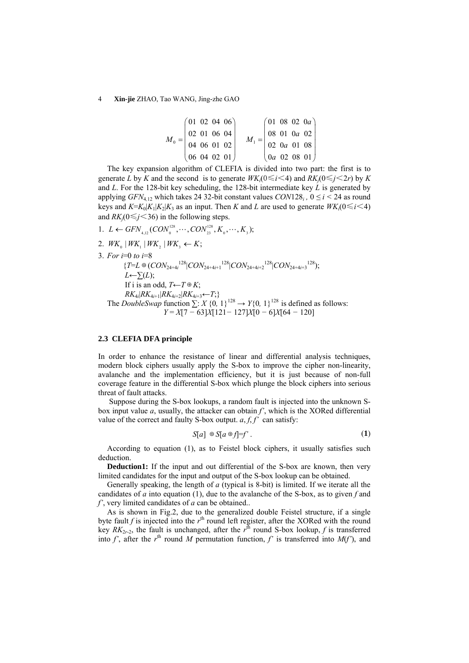$$
M_0 = \begin{pmatrix} 01 & 02 & 04 & 06 \\ 02 & 01 & 06 & 04 \\ 04 & 06 & 01 & 02 \\ 06 & 04 & 02 & 01 \end{pmatrix} \quad M_1 = \begin{pmatrix} 01 & 08 & 02 & 0a \\ 08 & 01 & 0a & 02 \\ 02 & 0a & 01 & 08 \\ 0a & 02 & 08 & 01 \end{pmatrix}
$$

The key expansion algorithm of CLEFIA is divided into two part: the first is to generate *L* by *K* and the second is to generate  $W K_i(0 \le i \le 4)$  and  $RK_i(0 \le j \le 2r)$  by *K* and *L*. For the 128-bit key scheduling, the 128-bit intermediate key *L* is generated by applying *GFN*<sub>4,12</sub> which takes 24 32-bit constant values  $CON128<sub>i</sub>$ ,  $0 \le i \le 24$  as round keys and  $K = K_0|K_1|K_2|K_3$  as an input. Then *K* and *L* are used to generate  $WK_i(0 \le i \le 4)$ and  $RK_i(0 \leq j \leq 36)$  in the following steps.

- 1.  $L \leftarrow$  GFN<sub>4,12</sub> (CON<sup>128</sup><sub>0</sub>,  $\cdots$ , CON<sup>128</sup><sub>23</sub>,  $K_0$ ,  $\cdots$ ,  $K_3$ );
- 2.  $WK_{0} | WK_{1} | WK_{2} | WK_{3} | WK_{4} \leftarrow K;$
- 3. *For i*=0 *to i*=8

 ${T=L \oplus (CON_{24+4i}^{128} | CON_{24+4i+1}^{128} | CON_{24+4i+2}^{128} | CON_{24+4i+3}^{128})};$  $L$ ←∑ $(L)$ ; If i is an odd,  $T \leftarrow T \oplus K$ ; *RK*<sub>4*i*</sub>+1|*RK*<sub>4*i*+2</sub>|*RK*<sub>4*i*+3</sub>←*T*;} The *DoubleSwap* function  $\sum$ : *X* {0*,* 1}<sup>128</sup> → *Y*{0*,* 1}<sup>128</sup> is defined as follows: *Y* = *X*[7 *−* 63]*X*[121*−* 127]*X*[0 *−* 6]*X*[64 *−* 120]

#### **2.3 CLEFIA DFA principle**

In order to enhance the resistance of linear and differential analysis techniques, modern block ciphers usually apply the S-box to improve the cipher non-linearity, avalanche and the implementation efficiency, but it is just because of non-full coverage feature in the differential S-box which plunge the block ciphers into serious threat of fault attacks.

 Suppose during the S-box lookups, a random fault is injected into the unknown Sbox input value *a*, usually, the attacker can obtain *f'*, which is the XORed differential value of the correct and faulty S-box output.  $a, f, f'$  can satisfy:

$$
S[a] \oplus S[a \oplus f]=f'.
$$
 (1)

According to equation (1), as to Feistel block ciphers, it usually satisfies such deduction.

**Deduction1:** If the input and out differential of the S-box are known, then very limited candidates for the input and output of the S-box lookup can be obtained.

Generally speaking, the length of *a* (typical is 8-bit) is limited. If we iterate all the candidates of *a* into equation (1), due to the avalanche of the S-box, as to given *f* and *f'*, very limited candidates of *a* can be obtained..

As is shown in Fig.2, due to the generalized double Feistel structure, if a single byte fault  $f$  is injected into the  $r<sup>th</sup>$  round left register, after the XORed with the round key  $RK_{2r-2}$ , the fault is unchanged, after the  $r^{\text{th}}$  round S-box lookup, f is transferred into  $f'$ , after the  $r<sup>th</sup>$  round *M* permutation function,  $f'$  is transferred into  $M(f')$ , and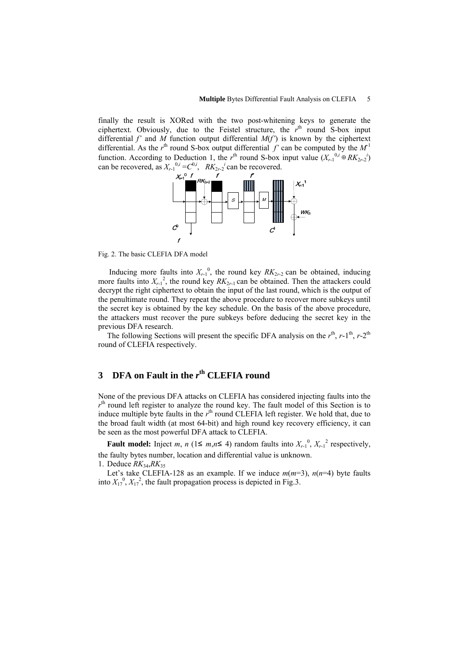finally the result is XORed with the two post-whitening keys to generate the ciphertext. Obviously, due to the Feistel structure, the  $r<sup>th</sup>$  round S-box input differential  $f'$  and  $M$  function output differential  $M(f')$  is known by the ciphertext differential. As the  $r<sup>th</sup>$  round S-box output differential  $f'$  can be computed by the  $M<sup>1</sup>$ function. According to Deduction 1, the  $r<sup>th</sup>$  round S-box input value  $(X_{r-1}^{0,i} \oplus RK_{2r-2}^{0,i})$ can be recovered, as  $X_{r-1}^{0,i} = C^{0,i}$ ,  $RK_{2r-2}^{i}$  can be recovered.



Fig. 2. The basic CLEFIA DFA model

Inducing more faults into  $X_{r-1}^0$ , the round key  $RX_{2r-2}$  can be obtained, inducing more faults into  $X_{r-1}^2$ , the round key  $RK_{2r-1}$  can be obtained. Then the attackers could decrypt the right ciphertext to obtain the input of the last round, which is the output of the penultimate round. They repeat the above procedure to recover more subkeys until the secret key is obtained by the key schedule. On the basis of the above procedure, the attackers must recover the pure subkeys before deducing the secret key in the previous DFA research.

The following Sections will present the specific DFA analysis on the  $r<sup>th</sup>$ ,  $r$ -1<sup>th</sup>,  $r$ -2<sup>th</sup> round of CLEFIA respectively.

# **3 DFA** on Fault in the  $r<sup>th</sup>$  CLEFIA round

None of the previous DFA attacks on CLEFIA has considered injecting faults into the  $r<sup>th</sup>$  round left register to analyze the round key. The fault model of this Section is to induce multiple byte faults in the  $r<sup>th</sup>$  round CLEFIA left register. We hold that, due to the broad fault width (at most 64-bit) and high round key recovery efficiency, it can be seen as the most powerful DFA attack to CLEFIA.

**Fault model:** Inject *m*, *n* (1≤ *m*,*n*≤ 4) random faults into  $X_{r-1}^0$ ,  $X_{r-1}^2$  respectively, the faulty bytes number, location and differential value is unknown. 1. Deduce *RK*34,*RK*<sup>35</sup>

Let's take CLEFIA-128 as an example. If we induce  $m(m=3)$ ,  $n(n=4)$  byte faults into  $X_{17}^0$ ,  $X_{17}^2$ , the fault propagation process is depicted in Fig.3.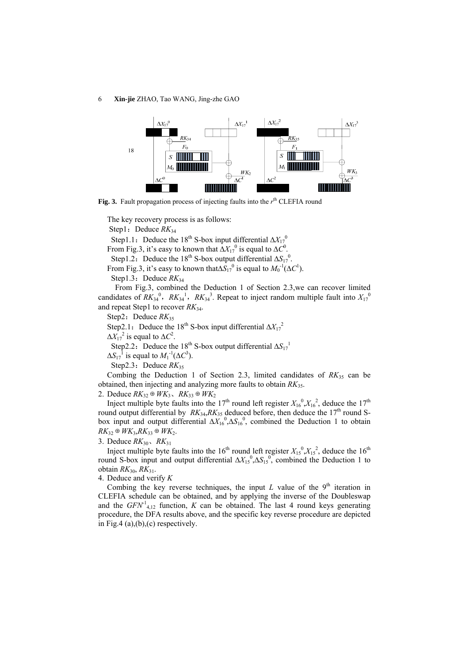6 **Xin-jie** ZHAO, Tao WANG, Jing-zhe GAO



**Fig. 3.** Fault propagation process of injecting faults into the  $r<sup>th</sup>$  CLEFIA round

The key recovery process is as follows: Step1: Deduce  $RK_{34}$ Step1.1: Deduce the 18<sup>th</sup> S-box input differential  $\Delta X_{17}^{0}$ <sup>0</sup> From Fig.3, it's easy to known that  $\Delta X_{17}^0$  is equal to  $\Delta C^0$ .

Step1.2: Deduce the 18<sup>th</sup> S-box output differential  $\Delta S_{17}^{0}$ .

From Fig.3, it's easy to known that $\Delta S_{17}^0$  is equal to  $M_0^{-1}(\Delta C^1)$ .

Step1.3: Deduce  $RK<sub>34</sub>$ 

 From Fig.3, combined the Deduction 1 of Section 2.3,we can recover limited candidates of  $RK_{34}^{0}$ ,  $RK_{34}^{1}$ ,  $RK_{34}^{3}$ . Repeat to inject random multiple fault into  $X_{17}^{0}$ and repeat Step1 to recover *RK*34.

Step2: Deduce  $RK_{35}$ 

Step2.1: Deduce the 18<sup>th</sup> S-box input differential  $\Delta X_{17}^2$ <sup>2</sup>

 $\Delta X_{17}^2$  is equal to  $\Delta C^2$ .

Step2.2: Deduce the 18<sup>th</sup> S-box output differential Δ*S*<sub>17</sub><sup>1</sup>

 $\Delta S_{17}$ <sup>1</sup> is equal to  $M_1^{-1}(\Delta C^3)$ .

Step2.3: Deduce  $RK_{35}$ 

Combing the Deduction 1 of Section 2.3, limited candidates of  $RK_{35}$  can be obtained, then injecting and analyzing more faults to obtain *RK*35.

2. Deduce  $RK_{32}$  ⊕  $WK_3$ ,  $RK_{33}$  ⊕  $WK_2$ 

Inject multiple byte faults into the 17<sup>th</sup> round left register  $X_{16}^0$ ,  $X_{16}^2$ , deduce the 17<sup>th</sup> round output differential by  $RK_{34}$ ,  $RK_{35}$  deduced before, then deduce the 17<sup>th</sup> round Sbox input and output differential  $\Delta X_{16}^0$ ,  $\Delta S_{16}^0$ , combined the Deduction 1 to obtain  $RK_{32} ⊕$ *WK*<sub>3</sub>, $RK_{33} ⊕$ *WK*<sub>2</sub>.

## 3. Deduce *RK*30、*RK*<sup>31</sup>

Inject multiple byte faults into the 16<sup>th</sup> round left register  $X_{15}^0, X_{15}^2$ , deduce the 16<sup>th</sup> round S-box input and output differential  $\Delta X_{15}^0$ ,  $\Delta S_{15}^0$ , combined the Deduction 1 to obtain *RK*30, *RK*31.

4. Deduce and verify *K*

Combing the key reverse techniques, the input  $L$  value of the  $9<sup>th</sup>$  iteration in CLEFIA schedule can be obtained, and by applying the inverse of the Doubleswap and the  $GFN^1_{4,12}$  function, *K* can be obtained. The last 4 round keys generating procedure, the DFA results above, and the specific key reverse procedure are depicted in Fig.4 (a), $(b)$ , $(c)$  respectively.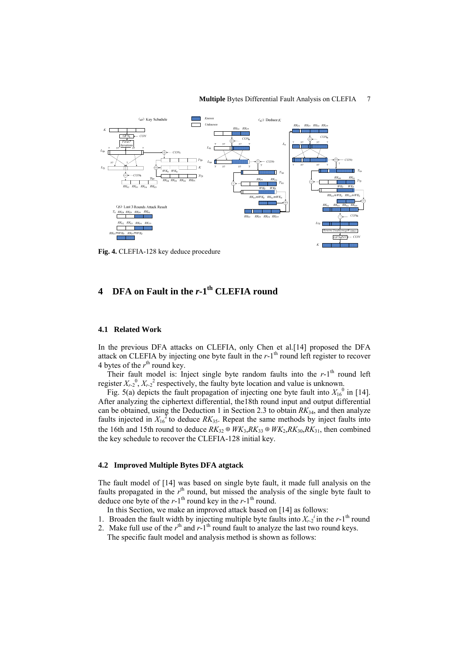

#### **Multiple** Bytes Differential Fault Analysis on CLEFIA 7

**Fig. 4.** CLEFIA-128 key deduce procedure

# **4 DFA** on Fault in the *r*-1<sup>th</sup> CLEFIA round

#### **4.1 Related Work**

In the previous DFA attacks on CLEFIA, only Chen et al.[[14\]](#page-14-4) proposed the DFA attack on CLEFIA by injecting one byte fault in the  $r-1<sup>th</sup>$  round left register to recover 4 bytes of the  $r<sup>th</sup>$  round key.

Their fault model is: Inject single byte random faults into the  $r-1$ <sup>th</sup> round left register  $X_{r-2}^0$ ,  $X_{r-2}^2$  respectively, the faulty byte location and value is unknown.

Fig. 5(a) depicts the fault propagation of injecting one byte fault into  $X_{16}^{0}$  in [[14\]](#page-14-4). After analyzing the ciphertext differential, the18th round input and output differential can be obtained, using the Deduction 1 in Section 2.3 to obtain *RK*34, and then analyze faults injected in  $X_{16}^{\text{2}}$  to deduce  $RK_{35}$ . Repeat the same methods by inject faults into the 16th and 15th round to deduce  $RK_{32} \oplus WK_{3}$ ,  $RK_{33} \oplus WK_{2}$ ,  $RK_{30}$ ,  $RK_{31}$ , then combined the key schedule to recover the CLEFIA-128 initial key.

## **4.2 Improved Multiple Bytes DFA atgtack**

The fault model of [\[14](#page-14-4)] was based on single byte fault, it made full analysis on the faults propagated in the  $r<sup>th</sup>$  round, but missed the analysis of the single byte fault to deduce one byte of the  $r-1$ <sup>th</sup> round key in the  $r-1$ <sup>th</sup> round.

- In this Section, we make an improved attack based on [\[14\]](#page-14-4) as follows:
- 1. Broaden the fault width by injecting multiple byte faults into  $X_{r-2}$ <sup>*i*</sup> in the *r*-1<sup>th</sup> round
- 2. Make full use of the  $r<sup>th</sup>$  and  $r<sup>-1</sup>$ <sup>th</sup> round fault to analyze the last two round keys. The specific fault model and analysis method is shown as follows: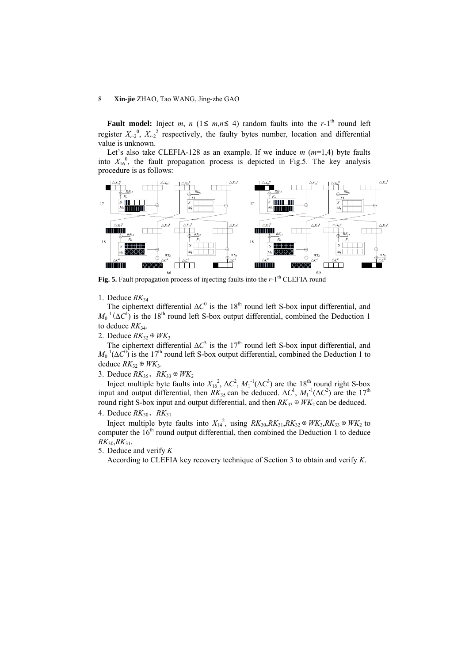**Fault model:** Inject *m*, *n* (1≤ *m*,*n*≤ 4) random faults into the *r*-1<sup>th</sup> round left register  $X_{r-2}^0$ ,  $X_{r-2}^2$  respectively, the faulty bytes number, location and differential value is unknown.

Let's also take CLEFIA-128 as an example. If we induce *m* (*m*=1,4) byte faults into  $X_{16}^0$ , the fault propagation process is depicted in Fig.5. The key analysis procedure is as follows:



#### 1. Deduce  $RK_{34}$

The ciphertext differential  $\Delta C^0$  is the 18<sup>th</sup> round left S-box input differential, and  $M_0^{-1}(\Delta C^1)$  is the 18<sup>th</sup> round left S-box output differential, combined the Deduction 1 to deduce *RK*34.

## 2. Deduce  $RK_3$ <sup>⊕</sup>  $WK_3$

The ciphertext differential  $\Delta C^3$  is the 17<sup>th</sup> round left S-box input differential, and  $M_0^{-1}(\Delta C^0)$  is the 17<sup>th</sup> round left S-box output differential, combined the Deduction 1 to deduce  $RK_{32} ⊕ WK_3$ .

## 3. Deduce  $RK_{35}$ ,  $RK_{33}$  ⊕  $WK_2$

Inject multiple byte faults into  $X_{16}^2$ ,  $\Delta C^2$ ,  $M_1^{-1}(\Delta C^3)$  are the 18<sup>th</sup> round right S-box input and output differential, then  $RK_{35}$  can be deduced.  $\Delta C^1$ ,  $M_1^{-1}(\Delta C^2)$  are the 17<sup>th</sup> round right S-box input and output differential, and then  $RK_{33} \oplus WK_2$  can be deduced.

## 4. Deduce *RK*30、*RK*<sup>31</sup>

Inject multiple byte faults into  $X_{14}^2$ , using  $RK_{30}$ , $RK_{31}$ , $RK_{32} \oplus WK_3$ , $RK_{33} \oplus WK_2$  to computer the  $16<sup>th</sup>$  round output differential, then combined the Deduction 1 to deduce *RK*30,*RK*31.

5. Deduce and verify *K*

According to CLEFIA key recovery technique of Section 3 to obtain and verify *K*.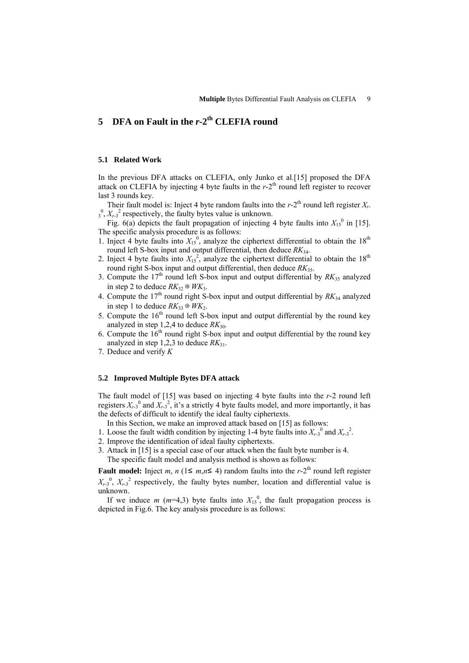# 5 **DFA** on Fault in the *r*-2<sup>th</sup> CLEFIA round

### **5.1 Related Work**

In the previous DFA attacks on CLEFIA, only Junko et al.[\[15\]](#page-14-5) proposed the DFA attack on CLEFIA by injecting 4 byte faults in the  $r-2<sup>th</sup>$  round left register to recover last 3 rounds key.

Their fault model is: Inject 4 byte random faults into the  $r-2<sup>th</sup>$  round left register  $X_r$ .  $\frac{1}{3}$ <sup>0</sup>,  $X_{r-3}$ <sup>2</sup> respectively, the faulty bytes value is unknown.

Fig. 6(a) depicts the fault propagation of injecting 4 byte faults into  $X_{15}^0$  in [[15\]](#page-14-5). The specific analysis procedure is as follows:

- 1. Inject 4 byte faults into  $X_{15}^0$ , analyze the ciphertext differential to obtain the 18<sup>th</sup> round left S-box input and output differential, then deduce *RK*34.
- 2. Inject 4 byte faults into  $X_{15}^2$ , analyze the ciphertext differential to obtain the 18<sup>th</sup> round right S-box input and output differential, then deduce *RK*35.
- 3. Compute the  $17<sup>th</sup>$  round left S-box input and output differential by  $RK_{35}$  analyzed in step 2 to deduce  $RK_{32} \oplus WK_3$ .
- 4. Compute the  $17<sup>th</sup>$  round right S-box input and output differential by  $RK_{34}$  analyzed in step 1 to deduce  $RK_{33}$  ⊕  $WK_2$ .
- 5. Compute the  $16<sup>th</sup>$  round left S-box input and output differential by the round key analyzed in step 1,2,4 to deduce  $RK_{30}$ .
- 6. Compute the  $16<sup>th</sup>$  round right S-box input and output differential by the round key analyzed in step 1,2,3 to deduce  $RK_{31}$ .
- 7. Deduce and verify *K*

#### **5.2 Improved Multiple Bytes DFA attack**

The fault model of [[15\]](#page-14-5) was based on injecting 4 byte faults into the *r*-2 round left registers  $X_{r-3}^0$  and  $X_{r-3}^0$ , it's a strictly 4 byte faults model, and more importantly, it has the defects of difficult to identify the ideal faulty ciphertexts.

- In this Section, we make an improved attack based on [\[15\]](#page-14-5) as follows:
- 1. Loose the fault width condition by injecting 1-4 byte faults into  $X_{r-3}^0$  and  $X_{r-3}^2$ .
- 2. Improve the identification of ideal faulty ciphertexts.
- 3. Attack in [[15\]](#page-14-5) is a special case of our attack when the fault byte number is 4. The specific fault model and analysis method is shown as follows:

**Fault model:** Inject *m*,  $n$  (1≤ *m*, $n$ ≤ 4) random faults into the *r*-2<sup>th</sup> round left register  $X_{r-3}$ <sup>0</sup>,  $X_{r-3}$ <sup>2</sup> respectively, the faulty bytes number, location and differential value is unknown.

If we induce *m* ( $m=4,3$ ) byte faults into  $X_{15}^0$ , the fault propagation process is depicted in Fig.6. The key analysis procedure is as follows: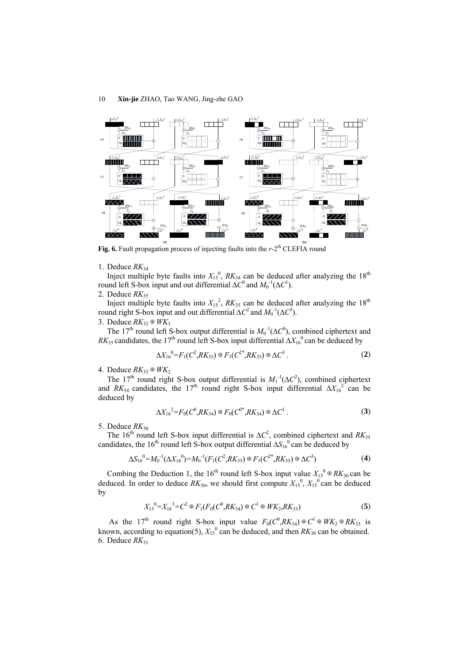

**Fig. 6.** Fault propagation process of injecting faults into the *r*-2<sup>th</sup> CLEFIA round

1. Deduce  $RK_{34}$ 

Inject multiple byte faults into  $X_{15}^0$ ,  $RK_{34}$  can be deduced after analyzing the 18<sup>th</sup> round left S-box input and out differential  $\Delta C^0$  and  $M_0^{-1}(\Delta C^1)$ .

2. Deduce *RK*<sup>35</sup>

Inject multiple byte faults into  $X_{15}^2$ ,  $RK_{35}$  can be deduced after analyzing the 18<sup>th</sup> round right S-box input and out differential  $\Delta C^2$  and  $M_0^{-1}(\Delta C^3)$ .

3. Deduce *RK*32⊕*WK*<sup>3</sup>

The 17<sup>th</sup> round left S-box output differential is  $M_0^{-1}(\Delta C^0)$ , combined ciphertext and *RK*<sub>35</sub> candidates, the 17<sup>th</sup> round left S-box input differential  $\Delta X_{16}^0$  can be deduced by

$$
\Delta X_{16}^0 = F_1(C^2, R K_{35}) \oplus F_1(C^{2^*}, R K_{35}) \oplus \Delta C^3 . \tag{2}
$$

4. Deduce  $RK_{33}$  ⊕  $WK_2$ 

The 17<sup>th</sup> round right S-box output differential is  $M_1^{-1}(\Delta C^2)$ , combined ciphertext and *RK*<sub>34</sub> candidates, the 17<sup>th</sup> round right S-box input differential  $\Delta X_{16}^2$  can be deduced by

$$
\Delta X_{16}^2 = F_0(C^0, R K_{34}) \oplus F_0(C^{0*}, R K_{34}) \oplus \Delta C^1 . \tag{3}
$$

5. Deduce  $RK_{30}$ 

The 16<sup>th</sup> round left S-box input differential is  $\Delta C^2$ , combined ciphertext and *RK*<sub>35</sub> candidates, the 16<sup>th</sup> round left S-box output differential  $\Delta S_{16}^0$  can be deduced by

$$
\Delta S_{16}{}^{0} = M_0{}^{-1} (\Delta X_{16}{}^{0}) = M_0{}^{-1} (F_1 (C^2, R K_{35}) \oplus F_1 (C^{2*}, R K_{35}) \oplus \Delta C^3)
$$
 (4)

Combing the Deduction 1, the 16<sup>th</sup> round left S-box input value  $X_{15}^0 \oplus RK_{30}$  can be deduced. In order to deduce  $RK_{30}$ , we should first compute  $X_{15}^0$ ,  $X_{15}^0$  can be deduced by

$$
X_{15}^{\ 0} = X_{16}^{\ 3} = C^2 \oplus F_1(F_0(C^0, R K_{34}) \oplus C^1 \oplus W K_2, R K_{33})
$$
\n
$$
\tag{5}
$$

As the 17<sup>th</sup> round right S-box input value  $F_0(C^0, R K_{34}) \oplus C^1 \oplus W K_2 \oplus R K_{33}$  is known, according to equation(5),  $X_{15}^0$  can be deduced, and then  $RK_{30}$  can be obtained. 6. Deduce  $RK_{31}$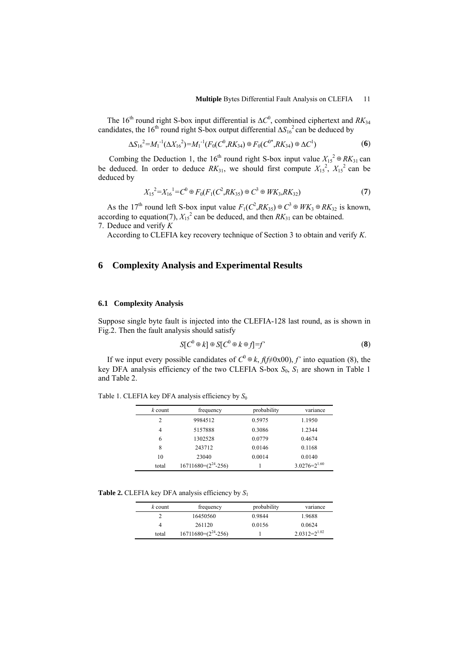The 16<sup>th</sup> round right S-box input differential is  $\Delta C^0$ , combined ciphertext and *RK*<sub>34</sub> candidates, the 16<sup>th</sup> round right S-box output differential ∆*S*<sub>16</sub><sup>2</sup> can be deduced by

$$
\Delta S_{16}^2 = M_1^{-1} (\Delta X_{16}^2) = M_1^{-1} (F_0 (C^0, R K_{34}) \oplus F_0 (C^{0*}, R K_{34}) \oplus \Delta C^1)
$$
 (6)

Combing the Deduction 1, the 16<sup>th</sup> round right S-box input value  $X_{15}^2 \oplus R K_{31}$  can be deduced. In order to deduce  $RK_{31}$ , we should first compute  $X_{15}^2$ ,  $X_{15}^2$  can be deduced by

$$
X_{15}^2 = X_{16}^1 = C^0 \oplus F_0(F_1(C^2, RK_{35}) \oplus C^3 \oplus WK_{3}, RK_{32})
$$
\n<sup>(7)</sup>

As the 17<sup>th</sup> round left S-box input value  $F_1(C^2, R K_{35}) \oplus C^3 \oplus W K_3 \oplus R K_{32}$  is known, according to equation(7),  $X_{15}^2$  can be deduced, and then  $RK_{31}$  can be obtained. 7. Deduce and verify *K*

According to CLEFIA key recovery technique of Section 3 to obtain and verify *K*.

## **6 Complexity Analysis and Experimental Results**

#### **6.1 Complexity Analysis**

Suppose single byte fault is injected into the CLEFIA-128 last round, as is shown in Fig.2. Then the fault analysis should satisfy

$$
S[C^0 \oplus k] \oplus S[C^0 \oplus k \oplus f] = f' \tag{8}
$$

If we input every possible candidates of  $C^0 \oplus k$ ,  $f(f \neq 0x00)$ ,  $f'$  into equation (8), the key DFA analysis efficiency of the two CLEFIA S-box *S*0, *S*1 are shown in Table 1 and Table 2.

| $k$ count | frequency | probability | variance |
|-----------|-----------|-------------|----------|
| 2         | 9984512   | 0.5975      | 1.1950   |
| 4         | 5157888   | 0.3086      | 1.2344   |
| 6         | 1302528   | 0.0779      | 0.4674   |
| 8         | 243712    | 0.0146      | 0.1168   |

Table 1. CLEFIA key DFA analysis efficiency by  $S_0$ 

**Table 2.** CLEFIA key DFA analysis efficiency by *S*<sup>1</sup>

| $k$ count | frequency               | probability | variance          |
|-----------|-------------------------|-------------|-------------------|
|           | 16450560                | 0.9844      | 1.9688            |
| 4         | 261120                  | 0.0156      | 0.0624            |
| total     | $16711680=(2^{24}-256)$ |             | $2.0312=2^{1.02}$ |

10 23040 0.0014 0.0140 total  $16711680=(2^{24}-256)$  1  $3.0276=2^{1.60}$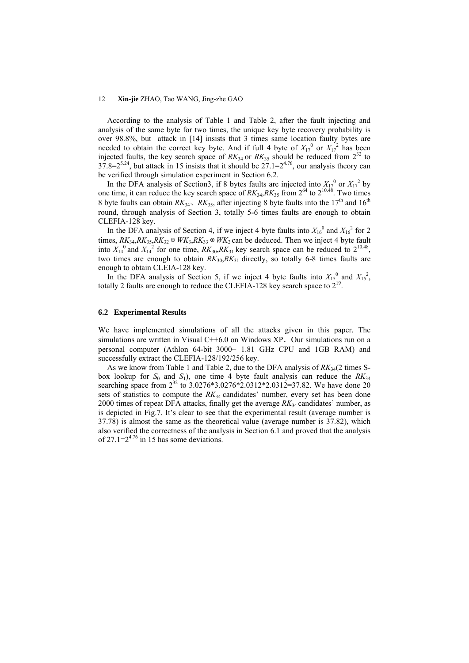According to the analysis of Table 1 and Table 2, after the fault injecting and analysis of the same byte for two times, the unique key byte recovery probability is over 98.8%, but attack in [[14\]](#page-14-4) insists that 3 times same location faulty bytes are needed to obtain the correct key byte. And if full 4 byte of  $X_{17}^0$  or  $X_{17}^2$  has been injected faults, the key search space of  $RK_{34}$  or  $RK_{35}$  should be reduced from  $2^{32}$  to  $37.8=2^{5.24}$ , but attack in [15](#page-14-5) insists that it should be  $27.1=2^{4.76}$ , our analysis theory can be verified through simulation experiment in Section 6.2.

In the DFA analysis of Section3, if 8 bytes faults are injected into  $X_{17}^0$  or  $X_{17}^2$  by one time, it can reduce the key search space of  $RK_{34}$ ,  $RK_{35}$  from  $2^{64}$  to  $2^{10.48}$ . Two times 8 byte faults can obtain  $RK_{34}$ ,  $RK_{35}$ , after injecting 8 byte faults into the 17<sup>th</sup> and 16<sup>th</sup> round, through analysis of Section 3, totally 5-6 times faults are enough to obtain CLEFIA-128 key.

In the DFA analysis of Section 4, if we inject 4 byte faults into  $X_{16}^0$  and  $X_{16}^2$  for 2 times,  $RK_{34}$ , $RK_{35}$ , $RK_{32}$  ⊕  $WK_{3}$ , $RK_{33}$  ⊕  $WK_{2}$  can be deduced. Then we inject 4 byte fault into  $X_{14}^0$  and  $X_{14}^2$  for one time,  $RK_{30}$ ,  $RK_{31}$  key search space can be reduced to  $2^{10.48}$ , two times are enough to obtain  $RK_{30}$ ,  $RK_{31}$  directly, so totally 6-8 times faults are enough to obtain CLEIA-128 key.

In the DFA analysis of Section 5, if we inject 4 byte faults into  $X_{15}^0$  and  $X_{15}^2$ , totally 2 faults are enough to reduce the CLEFIA-128 key search space to  $2^{19}$ .

#### **6.2 Experimental Results**

We have implemented simulations of all the attacks given in this paper. The simulations are written in Visual  $C++6.0$  on Windows XP. Our simulations run on a personal computer (Athlon 64-bit 3000+ 1.81 GHz CPU and 1GB RAM) and successfully extract the CLEFIA-128/192/256 key.

As we know from Table 1 and Table 2, due to the DFA analysis of *RK*34(2 times Sbox lookup for  $S_0$  and  $S_1$ ), one time 4 byte fault analysis can reduce the  $RK_{34}$ searching space from  $2^{32}$  to 3.0276\*3.0276\*2.0312\*2.0312=37.82. We have done 20 sets of statistics to compute the  $RK_{34}$  candidates' number, every set has been done 2000 times of repeat DFA attacks, finally get the average *RK*34 candidates' number, as is depicted in Fig.7. It's clear to see that the experimental result (average number is 37.78) is almost the same as the theoretical value (average number is 37.82), which also verified the correctness of the analysis in Section 6.1 and proved that the analysis of 27.1= $2^{4.76}$  in [15](#page-14-5) has some deviations.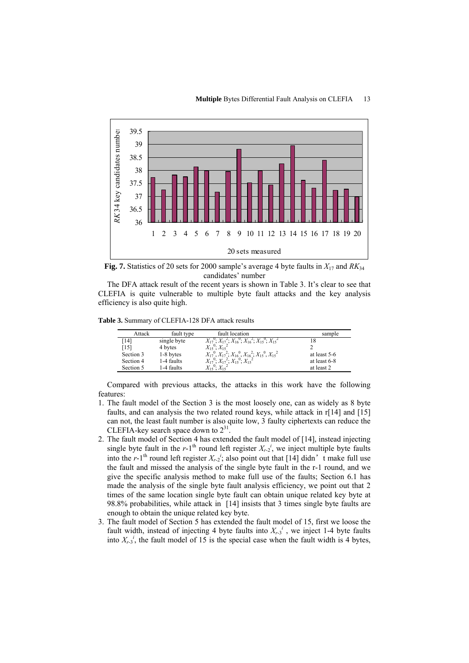

**Fig. 7.** Statistics of 20 sets for 2000 sample's average 4 byte faults in *X*17 and *RK*<sup>34</sup> candidates' number

The DFA attack result of the recent years is shown in Table 3. It's clear to see that CLEFIA is quite vulnerable to multiple byte fault attacks and the key analysis efficiency is also quite high.

**Table 3.** Summary of CLEFIA-128 DFA attack results

| Attack    | fault type  | fault location                                                                          | sample       |
|-----------|-------------|-----------------------------------------------------------------------------------------|--------------|
| [14]      | single byte | $X_{17}^{0}$ ; $X_{17}^{2}$ ; $X_{16}^{0}$ ; $X_{16}^{2}$ ; $X_{15}^{0}$ ; $X_{15}^{2}$ | 18           |
| [15]      | 4 bytes     | $X_1$ <sup>5</sup> ; $X_1$ <sup>2</sup>                                                 |              |
| Section 3 | 1-8 bytes   | $X_{17}^0, X_{17}^2, X_{16}^0, X_{16}^2, X_{15}^0, X_{15}^2$                            | at least 5-6 |
| Section 4 | 1-4 faults  | $X_1^0$ ; $X_1^2$ ; $X_1^0$ ; $X_1^2$                                                   | at least 6-8 |
| Section 5 | 1-4 faults  | $X_1e^{0}$ $X_1e^{2}$                                                                   | at least 2   |

Compared with previous attacks, the attacks in this work have the following features:

- 1. The fault model of the Section 3 is the most loosely one, can as widely as 8 byte faults, and can analysis the two related round keys, while attack in r[[14\]](#page-14-4) and [\[15](#page-14-5)] can not, the least fault number is also quite low, 3 faulty ciphertexts can reduce the CLEFIA-key search space down to  $2^{31}$
- 2. The fault model of Section 4 has extended the fault model of [\[14](#page-14-4)], instead injecting single byte fault in the  $r$ -1<sup>th</sup> round left register  $X_{r-2}$ <sup>*i*</sup>, we inject multiple byte faults into the  $r$ -1<sup>th</sup> round left register  $X_{r-2}$ <sup>*i*</sup>, also point out that [\[14](#page-14-4)] didn't make full use the fault and missed the analysis of the single byte fault in the r-1 round, and we give the specific analysis method to make full use of the faults; Section 6.1 has made the analysis of the single byte fault analysis efficiency, we point out that 2 times of the same location single byte fault can obtain unique related key byte at 98.8% probabilities, while attack in [\[14](#page-14-4)] insists that 3 times single byte faults are enough to obtain the unique related key byte.
- 3. The fault model of Section 5 has extended the fault model of [15,](#page-14-5) first we loose the fault width, instead of injecting 4 byte faults into  $X_{r-3}$ <sup>i</sup>, we inject 1-4 byte faults into  $X_{r-3}$ <sup>*i*</sup>, the fault model of [15](#page-14-5) is the special case when the fault width is 4 bytes,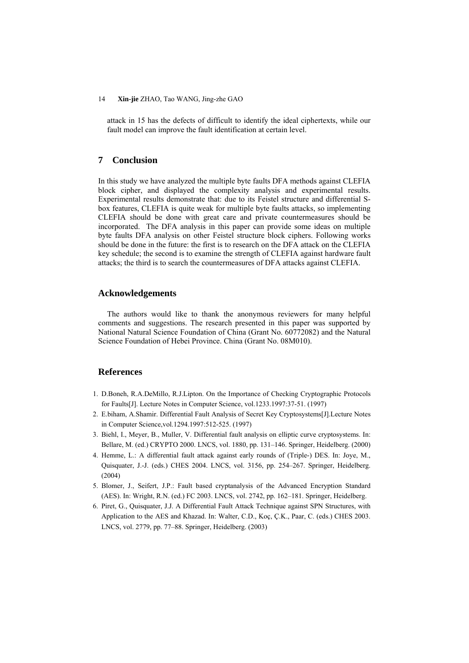attack in [15](#page-14-5) has the defects of difficult to identify the ideal ciphertexts, while our fault model can improve the fault identification at certain level.

# **7 Conclusion**

In this study we have analyzed the multiple byte faults DFA methods against CLEFIA block cipher, and displayed the complexity analysis and experimental results. Experimental results demonstrate that: due to its Feistel structure and differential Sbox features, CLEFIA is quite weak for multiple byte faults attacks, so implementing CLEFIA should be done with great care and private countermeasures should be incorporated. The DFA analysis in this paper can provide some ideas on multiple byte faults DFA analysis on other Feistel structure block ciphers. Following works should be done in the future: the first is to research on the DFA attack on the CLEFIA key schedule; the second is to examine the strength of CLEFIA against hardware fault attacks; the third is to search the countermeasures of DFA attacks against CLEFIA.

### **Acknowledgements**

The authors would like to thank the anonymous reviewers for many helpful comments and suggestions. The research presented in this paper was supported by National Natural Science Foundation of China (Grant No. 60772082) and the Natural Science Foundation of Hebei Province. China (Grant No. 08M010).

## **References**

- <span id="page-13-0"></span>1. D.Boneh, R.A.DeMillo, R.J.Lipton. On the Importance of Checking Cryptographic Protocols for Faults[J]. Lecture Notes in Computer Science, vol.1233.1997:37-51. (1997)
- <span id="page-13-1"></span>2. E.biham, A.Shamir. Differential Fault Analysis of Secret Key Cryptosystems[J].Lecture Notes in Computer Science,vol.1294.1997:512-525. (1997)
- 3. Biehl, I., Meyer, B., Muller, V. Differential fault analysis on elliptic curve cryptosystems. In: Bellare, M. (ed.) CRYPTO 2000. LNCS, vol. 1880, pp. 131–146. Springer, Heidelberg. (2000)
- <span id="page-13-2"></span>4. Hemme, L.: A differential fault attack against early rounds of (Triple-) DES. In: Joye, M., Quisquater, J.-J. (eds.) CHES 2004. LNCS, vol. 3156, pp. 254–267. Springer, Heidelberg. (2004)
- <span id="page-13-3"></span>5. Blomer, J., Seifert, J.P.: Fault based cryptanalysis of the Advanced Encryption Standard (AES). In: Wright, R.N. (ed.) FC 2003. LNCS, vol. 2742, pp. 162–181. Springer, Heidelberg.
- 6. Piret, G., Quisquater, J.J. A Differential Fault Attack Technique against SPN Structures, with Application to the AES and Khazad. In: Walter, C.D., Koç, Ç.K., Paar, C. (eds.) CHES 2003. LNCS, vol. 2779, pp. 77–88. Springer, Heidelberg. (2003)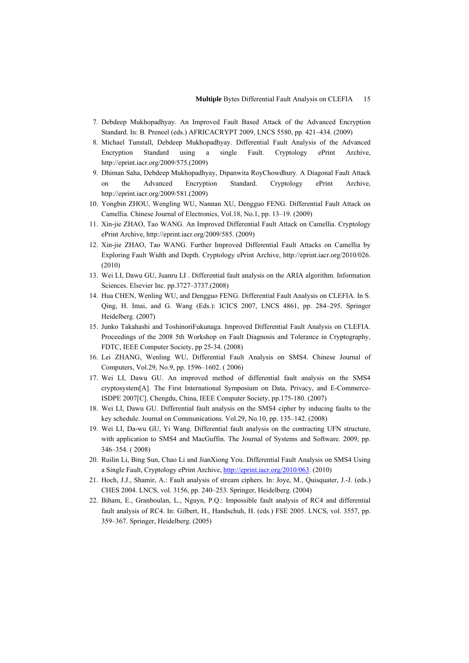- 7. Debdeep Mukhopadhyay. An Improved Fault Based Attack of the Advanced Encryption Standard. In: B. Preneel (eds.) AFRICACRYPT 2009, LNCS 5580, pp. 421–434. (2009)
- 8. Michael Tunstall, Debdeep Mukhopadhyay. Differential Fault Analysis of the Advanced Encryption Standard using a single Fault. Cryptology ePrint Archive, [http://eprint.iacr.org/2009/575.](http://eprint.iacr.org/2009/575)(2009)
- <span id="page-14-0"></span>9. Dhiman Saha, Debdeep Mukhopadhyay, Dipanwita RoyChowdhury. A Diagonal Fault Attack on the Advanced Encryption Standard. Cryptology ePrint Archive, [http://eprint.iacr.org/2009/581.](http://eprint.iacr.org/2009/581)(2009)
- <span id="page-14-1"></span>10. Yongbin ZHOU, Wengling WU, Nannan XU, Dengguo FENG. Differential Fault Attack on Camellia. Chinese Journal of Electronics, Vol.18, No.1, pp. 13–19. (2009)
- 11. Xin-jie ZHAO, Tao WANG. An Improved Differential Fault Attack on Camellia. Cryptology ePrint Archive, [http://eprint.iacr.org/2009/585.](http://eprint.iacr.org/2009/585) (2009)
- <span id="page-14-2"></span>12. Xin-jie ZHAO, Tao WANG. Further Improved Differential Fault Attacks on Camellia by Exploring Fault Width and Depth. Cryptology ePrint Archive, [http://eprint.iacr.org/2010/026](http://eprint.iacr.org/2010/585). (2010)
- <span id="page-14-3"></span>13. Wei LI, Dawu GU, Juanru LI . Differential fault analysis on the ARIA algorithm. Information Sciences. Elsevier Inc. pp.3727–3737.(2008)
- <span id="page-14-4"></span>14. Hua CHEN, Wenling WU, and Dengguo FENG. Differential Fault Analysis on CLEFIA. In S. Qing, H. Imai, and G. Wang (Eds.): ICICS 2007, LNCS 4861, pp. 284–295. Springer Heidelberg. (2007)
- <span id="page-14-5"></span>15. Junko Takahashi and ToshinoriFukunaga. Improved Differential Fault Analysis on CLEFIA. Proceedings of the 2008 5th Workshop on Fault Diagnosis and Tolerance in Cryptography, FDTC, IEEE Computer Society, pp 25-34. (2008)
- <span id="page-14-6"></span>16. Lei ZHANG, Wenling WU, Differential Fault Analysis on SMS4. Chinese Journal of Computers, Vol.29, No.9, pp. 1596–1602. ( 2006)
- 17. Wei LI, Dawu GU. An improved method of differential fault analysis on the SMS4 cryptosystem[A]. The First International Symposium on Data, Privacy, and E-Commerce-ISDPE 2007[C]. Chengdu, China, IEEE Computer Society, pp.175-180. (2007)
- 18. Wei LI, Dawu GU. Differential fault analysis on the SMS4 cipher by inducing faults to the key schedule. Journal on Communications. Vol.29, No.10, pp. 135–142. (2008)
- 19. Wei LI, Da-wu GU, Yi Wang. Differential fault analysis on the contracting UFN structure, with application to SMS4 and MacGuffin. The Journal of Systems and Software. 2009, pp. 346–354. ( 2008)
- <span id="page-14-7"></span>20. Ruilin Li, Bing Sun, Chao Li and JianXiong You. Differential Fault Analysis on SMS4 Using a Single Fault, Cryptology ePrint Archive, [http://eprint.iacr.org/2010/063.](http://eprint.iacr.org/2010/063) (2010)
- <span id="page-14-8"></span>21. Hoch, J.J., Shamir, A.: Fault analysis of stream ciphers. In: Joye, M., Quisquater, J.-J. (eds.) CHES 2004. LNCS, vol. 3156, pp. 240–253. Springer, Heidelberg. (2004)
- <span id="page-14-9"></span>22. Biham, E., Granboulan, L., Nguyn, P.Q.: Impossible fault analysis of RC4 and differential fault analysis of RC4. In: Gilbert, H., Handschuh, H. (eds.) FSE 2005. LNCS, vol. 3557, pp. 359–367. Springer, Heidelberg. (2005)